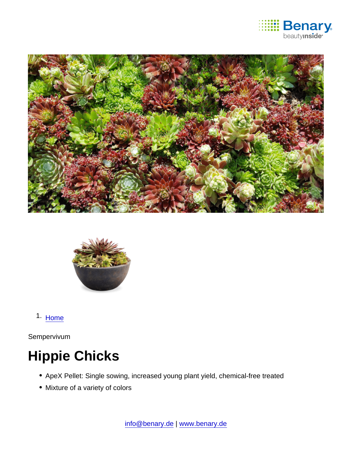

1. [Home](https://www.benary.com/)

Sempervivum

# Hippie Chicks

- ApeX Pellet: Single sowing, increased young plant yield, chemical-free treated
- Mixture of a variety of colors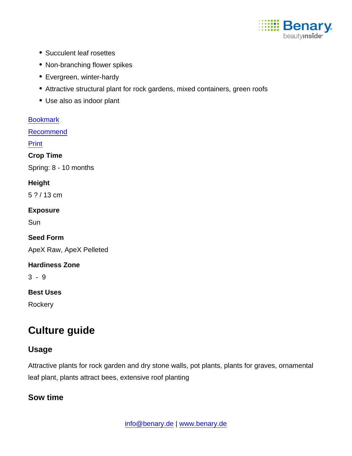

- Succulent leaf rosettes
- Non-branching flower spikes
- Evergreen, winter-hardy
- Attractive structural plant for rock gardens, mixed containers, green roofs
- Use also as indoor plant

[Bookmark](https://www.benary.com/flag/flag/product/6277?destination&token=kBuoBP--qbRsXwKxa7VuJeTpVB_5GfIyN37fFoN7DUs)

[Recommend](mailto:?subject=Benary Sempervivum  &body=https://www.benary.com/print/pdf/node/6277)

Print

Crop Time

Spring: 8 - 10 months

**Height** 

5 ? / 13 cm

Exposure

**Sun** 

Seed Form

ApeX Raw, ApeX Pelleted

Hardiness Zone

3 - 9

Best Uses

**Rockery** 

# Culture guide

## Usage

Attractive plants for rock garden and dry stone walls, pot plants, plants for graves, ornamental leaf plant, plants attract bees, extensive roof planting

Sow time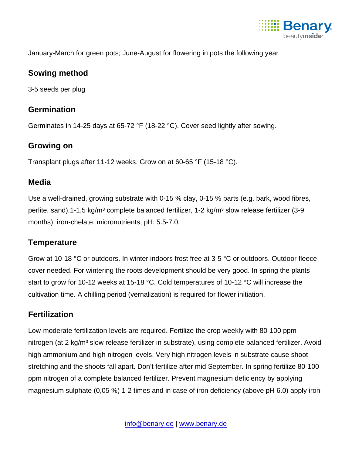

January-March for green pots; June-August for flowering in pots the following year

#### Sowing method

3-5 seeds per plug

## **Germination**

Germinates in 14-25 days at 65-72 °F (18-22 °C). Cover seed lightly after sowing.

#### Growing on

Transplant plugs after 11-12 weeks. Grow on at 60-65 °F (15-18 °C).

#### Media

Use a well-drained, growing substrate with 0-15 % clay, 0-15 % parts (e.g. bark, wood fibres, perlite, sand), 1-1, 5 kg/m<sup>3</sup> complete balanced fertilizer, 1-2 kg/m<sup>3</sup> slow release fertilizer (3-9 months), iron-chelate, micronutrients, pH: 5.5-7.0.

## **Temperature**

Grow at 10-18 °C or outdoors. In winter indoors frost free at 3-5 °C or outdoors. Outdoor fleece cover needed. For wintering the roots development should be very good. In spring the plants start to grow for 10-12 weeks at 15-18 °C. Cold temperatures of 10-12 °C will increase the cultivation time. A chilling period (vernalization) is required for flower initiation.

## **Fertilization**

Low-moderate fertilization levels are required. Fertilize the crop weekly with 80-100 ppm nitrogen (at 2 kg/m<sup>3</sup> slow release fertilizer in substrate), using complete balanced fertilizer. Avoid high ammonium and high nitrogen levels. Very high nitrogen levels in substrate cause shoot stretching and the shoots fall apart. Don't fertilize after mid September. In spring fertilize 80-100 ppm nitrogen of a complete balanced fertilizer. Prevent magnesium deficiency by applying magnesium sulphate (0,05 %) 1-2 times and in case of iron deficiency (above pH 6.0) apply iron-